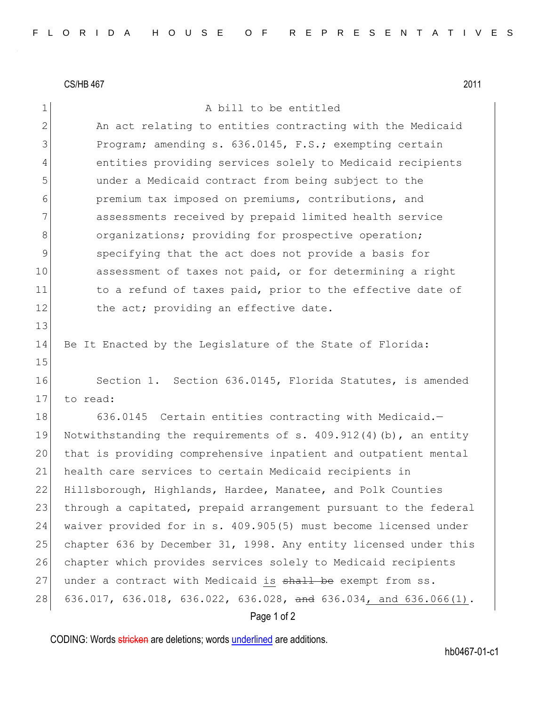CS/HB 467 2011

## 1 a bill to be entitled 2 An act relating to entities contracting with the Medicaid 3 Program; amending s. 636.0145, F.S.; exempting certain 4 entities providing services solely to Medicaid recipients 5 under a Medicaid contract from being subject to the 6 premium tax imposed on premiums, contributions, and 7 assessments received by prepaid limited health service 8 organizations; providing for prospective operation; 9 specifying that the act does not provide a basis for 10 assessment of taxes not paid, or for determining a right 11 to a refund of taxes paid, prior to the effective date of 12 the act; providing an effective date. 13 14 Be It Enacted by the Legislature of the State of Florida: 15 16 Section 1. Section 636.0145, Florida Statutes, is amended 17 to read: 18 636.0145 Certain entities contracting with Medicaid.-19 Notwithstanding the requirements of s. 409.912(4)(b), an entity 20 that is providing comprehensive inpatient and outpatient mental 21 health care services to certain Medicaid recipients in 22 Hillsborough, Highlands, Hardee, Manatee, and Polk Counties 23 through a capitated, prepaid arrangement pursuant to the federal 24 waiver provided for in s. 409.905(5) must become licensed under 25 chapter 636 by December 31, 1998. Any entity licensed under this 26 chapter which provides services solely to Medicaid recipients 27 under a contract with Medicaid is shall be exempt from ss. 28 636.017, 636.018, 636.022, 636.028, and 636.034, and 636.066(1).

## Page 1 of 2

CODING: Words stricken are deletions; words underlined are additions.